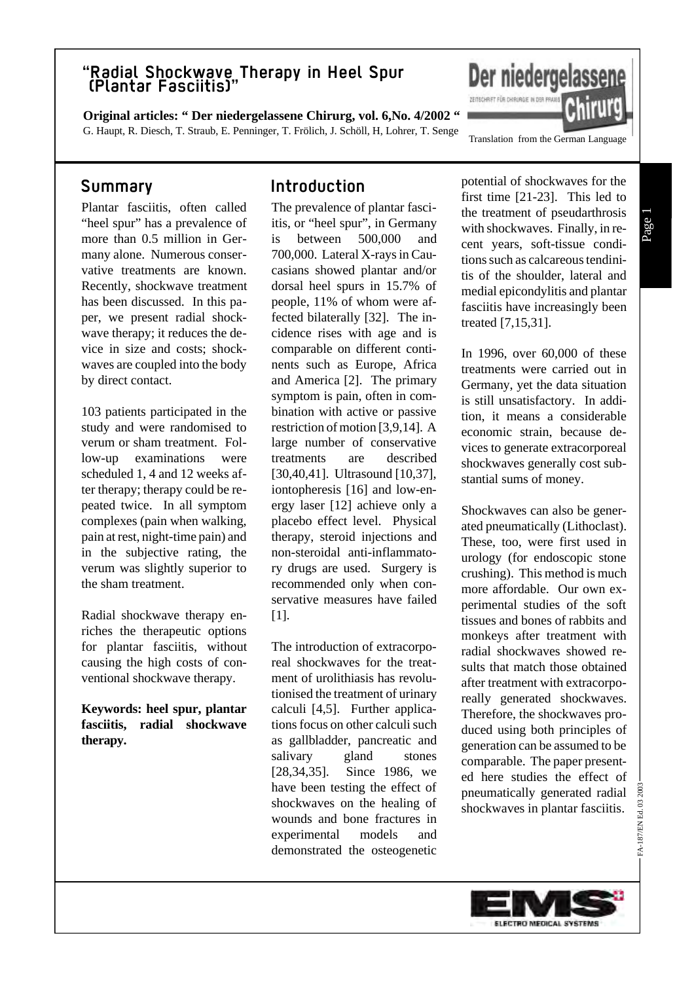**Original articles: " Der niedergelassene Chirurg, vol. 6,No. 4/2002 "** G. Haupt, R. Diesch, T. Straub, E. Penninger, T. Frölich, J. Schöll, H, Lohrer, T. Senge

### **Summary**

Plantar fasciitis, often called "heel spur" has a prevalence of more than 0.5 million in Germany alone. Numerous conservative treatments are known. Recently, shockwave treatment has been discussed. In this paper, we present radial shockwave therapy; it reduces the device in size and costs; shockwaves are coupled into the body by direct contact.

103 patients participated in the study and were randomised to verum or sham treatment. Follow-up examinations were scheduled 1, 4 and 12 weeks after therapy; therapy could be repeated twice. In all symptom complexes (pain when walking, pain at rest, night-time pain) and in the subjective rating, the verum was slightly superior to the sham treatment.

Radial shockwave therapy enriches the therapeutic options for plantar fasciitis, without causing the high costs of conventional shockwave therapy.

**Keywords: heel spur, plantar fasciitis, radial shockwave therapy.**

### **Introduction**

The prevalence of plantar fasciitis, or "heel spur", in Germany is between 500,000 and 700,000. Lateral X-rays in Caucasians showed plantar and/or dorsal heel spurs in 15.7% of people, 11% of whom were affected bilaterally [32]. The incidence rises with age and is comparable on different continents such as Europe, Africa and America [2]. The primary symptom is pain, often in combination with active or passive restriction of motion [3,9,14]. A large number of conservative treatments are described [30,40,41]. Ultrasound [10,37], iontopheresis [16] and low-energy laser [12] achieve only a placebo effect level. Physical therapy, steroid injections and non-steroidal anti-inflammatory drugs are used. Surgery is recommended only when conservative measures have failed [1].

The introduction of extracorporeal shockwaves for the treatment of urolithiasis has revolutionised the treatment of urinary calculi [4,5]. Further applications focus on other calculi such as gallbladder, pancreatic and salivary gland stones [28,34,35]. Since 1986, we have been testing the effect of shockwaves on the healing of wounds and bone fractures in experimental models and demonstrated the osteogenetic

potential of shockwaves for the first time [21-23]. This led to the treatment of pseudarthrosis with shockwaves. Finally, in recent years, soft-tissue conditions such as calcareous tendinitis of the shoulder, lateral and medial epicondylitis and plantar fasciitis have increasingly been treated [7,15,31].

Translation from the German Language

Der niedergelassene

ZEITSCHRIFT FÜR CHIRURGIE IN DER PRAXI

In 1996, over 60,000 of these treatments were carried out in Germany, yet the data situation is still unsatisfactory. In addition, it means a considerable economic strain, because devices to generate extracorporeal shockwaves generally cost substantial sums of money.

Shockwaves can also be generated pneumatically (Lithoclast). These, too, were first used in urology (for endoscopic stone crushing). This method is much more affordable. Our own experimental studies of the soft tissues and bones of rabbits and monkeys after treatment with radial shockwaves showed results that match those obtained after treatment with extracorporeally generated shockwaves. Therefore, the shockwaves produced using both principles of generation can be assumed to be comparable. The paper presented here studies the effect of pneumatically generated radial shockwaves in plantar fasciitis.

FA-187/EN Ed. 03 2003

FA-187/EN Ed. 03 2003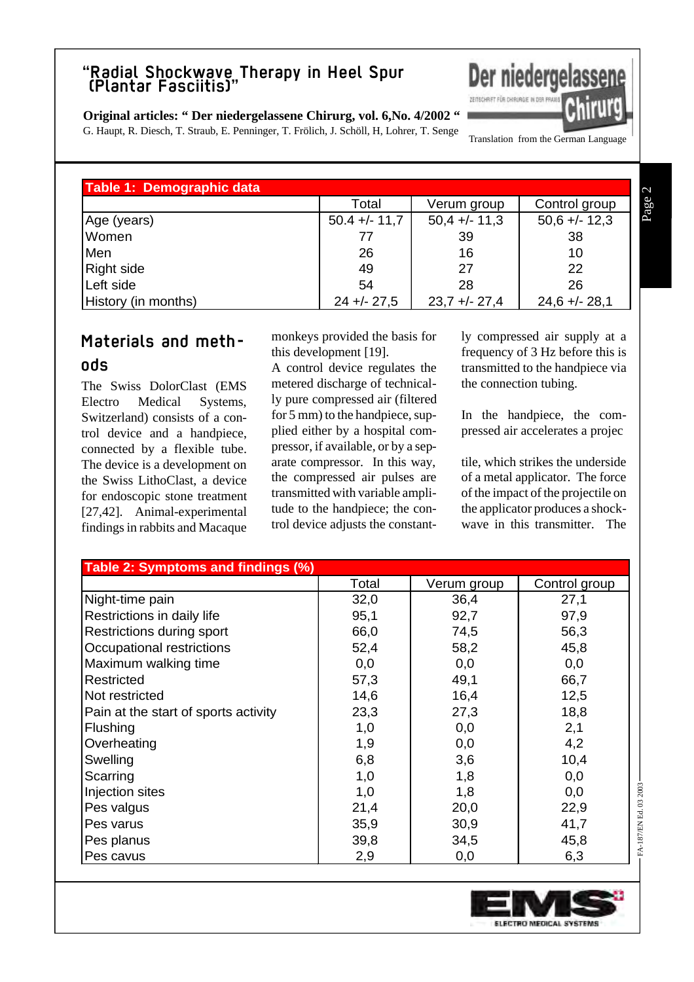#### **Original articles: " Der niedergelassene Chirurg, vol. 6,No. 4/2002 "**

G. Haupt, R. Diesch, T. Straub, E. Penninger, T. Frölich, J. Schöll, H, Lohrer, T. Senge

Translation from the German Language

ZEITSCHRIFT FÜR CHIRURGIE IN DER

Der niedergelassene

| Table 1: Demographic data |                 |                 |                 |  |
|---------------------------|-----------------|-----------------|-----------------|--|
|                           | Total           | Verum group     | Control group   |  |
| Age (years)               | $50.4 +/- 11.7$ | $50,4 +/- 11,3$ | $50,6 +/- 12,3$ |  |
| Women                     | 77              | 39              | 38              |  |
| Men                       | 26              | 16              | 10              |  |
| <b>Right side</b>         | 49              | 27              | 22              |  |
| Left side                 | 54              | 28              | 26              |  |
| History (in months)       | $24 + - 27,5$   | $23.7 + - 27.4$ | $24,6 + - 28,1$ |  |

# **Materials and methods**

The Swiss DolorClast (EMS Electro Medical Systems, Switzerland) consists of a control device and a handpiece, connected by a flexible tube. The device is a development on the Swiss LithoClast, a device for endoscopic stone treatment [27,42]. Animal-experimental findings in rabbits and Macaque monkeys provided the basis for this development [19].

A control device regulates the metered discharge of technically pure compressed air (filtered for 5 mm) to the handpiece, supplied either by a hospital compressor, if available, or by a separate compressor. In this way, the compressed air pulses are transmitted with variable amplitude to the handpiece; the control device adjusts the constantly compressed air supply at a frequency of 3 Hz before this is transmitted to the handpiece via the connection tubing.

In the handpiece, the compressed air accelerates a projec

tile, which strikes the underside of a metal applicator. The force of the impact of the projectile on the applicator produces a shockwave in this transmitter. The

| Table 2: Symptoms and findings (%)   |       |             |               |  |  |
|--------------------------------------|-------|-------------|---------------|--|--|
|                                      | Total | Verum group | Control group |  |  |
| Night-time pain                      | 32,0  | 36,4        | 27,1          |  |  |
| Restrictions in daily life           | 95,1  | 92,7        | 97,9          |  |  |
| Restrictions during sport            | 66,0  | 74,5        | 56,3          |  |  |
| Occupational restrictions            | 52,4  | 58,2        | 45,8          |  |  |
| Maximum walking time                 | 0,0   | 0,0         | 0,0           |  |  |
| Restricted                           | 57,3  | 49,1        | 66,7          |  |  |
| Not restricted                       | 14,6  | 16,4        | 12,5          |  |  |
| Pain at the start of sports activity | 23,3  | 27,3        | 18,8          |  |  |
| Flushing                             | 1,0   | 0,0         | 2,1           |  |  |
| Overheating                          | 1,9   | 0,0         | 4,2           |  |  |
| Swelling                             | 6,8   | 3,6         | 10,4          |  |  |
| Scarring                             | 1,0   | 1,8         | 0,0           |  |  |
| Injection sites                      | 1,0   | 1,8         | 0,0           |  |  |
| Pes valgus                           | 21,4  | 20,0        | 22,9          |  |  |
| Pes varus                            | 35,9  | 30,9        | 41,7          |  |  |
| Pes planus                           | 39,8  | 34,5        | 45,8          |  |  |
| Pes cavus                            | 2,9   | 0,0         | 6,3           |  |  |

Page 2

FA-187/EN Ed. 03 2003

FA-187/EN Ed. 03 2003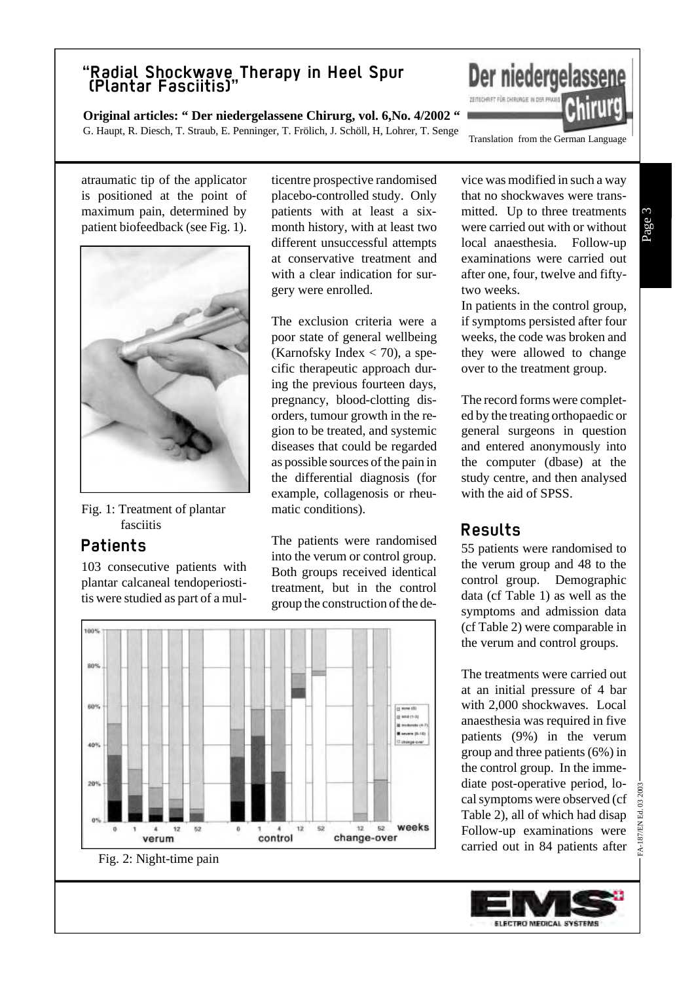**Original articles: " Der niedergelassene Chirurg, vol. 6,No. 4/2002 "** G. Haupt, R. Diesch, T. Straub, E. Penninger, T. Frölich, J. Schöll, H, Lohrer, T. Senge

Translation from the German Language

ZEITSCHRIFT FÜR CHIRURGIE IN DER P

atraumatic tip of the applicator is positioned at the point of maximum pain, determined by patient biofeedback (see Fig. 1).



Fig. 1: Treatment of plantar fasciitis

## **Patients**

103 consecutive patients with plantar calcaneal tendoperiostitis were studied as part of a multicentre prospective randomised placebo-controlled study. Only patients with at least a sixmonth history, with at least two different unsuccessful attempts at conservative treatment and with a clear indication for surgery were enrolled.

The exclusion criteria were a poor state of general wellbeing (Karnofsky Index  $<$  70), a specific therapeutic approach during the previous fourteen days, pregnancy, blood-clotting disorders, tumour growth in the region to be treated, and systemic diseases that could be regarded as possible sources of the pain in the differential diagnosis (for example, collagenosis or rheumatic conditions).

The patients were randomised into the verum or control group. Both groups received identical treatment, but in the control group the construction of the de-



vice was modified in such a way that no shockwaves were transmitted. Up to three treatments were carried out with or without local anaesthesia. Follow-up examinations were carried out after one, four, twelve and fiftytwo weeks.

Der niedergelassene

In patients in the control group, if symptoms persisted after four weeks, the code was broken and they were allowed to change over to the treatment group.

The record forms were completed by the treating orthopaedic or general surgeons in question and entered anonymously into the computer (dbase) at the study centre, and then analysed with the aid of SPSS.

# **Results**

55 patients were randomised to the verum group and 48 to the control group. Demographic data (cf Table 1) as well as the symptoms and admission data (cf Table 2) were comparable in the verum and control groups.

The treatments were carried out at an initial pressure of 4 bar with 2,000 shockwaves. Local anaesthesia was required in five patients (9%) in the verum group and three patients (6%) in the control group. In the immediate post-operative period, local symptoms were observed (cf Table 2), all of which had disap Follow-up examinations were carried out in 84 patients after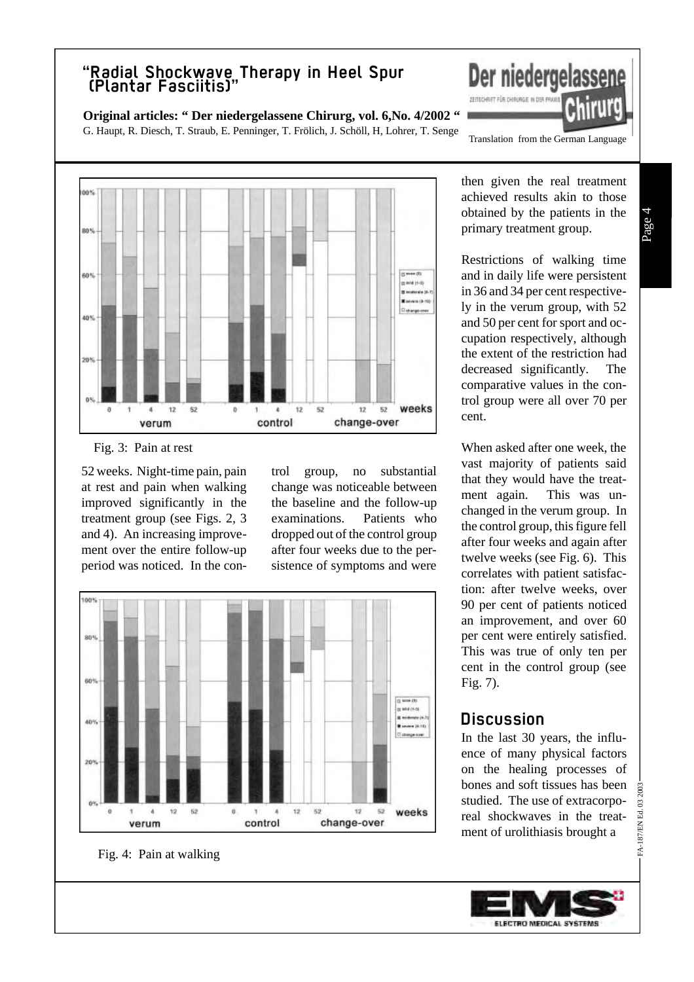**Original articles: " Der niedergelassene Chirurg, vol. 6,No. 4/2002 "**

G. Haupt, R. Diesch, T. Straub, E. Penninger, T. Frölich, J. Schöll, H, Lohrer, T. Senge



Fig. 3: Pain at rest

52 weeks. Night-time pain, pain at rest and pain when walking improved significantly in the treatment group (see Figs. 2, 3 and 4). An increasing improvement over the entire follow-up period was noticed. In the control group, no substantial change was noticeable between the baseline and the follow-up examinations. Patients who dropped out of the control group after four weeks due to the persistence of symptoms and were



Translation from the German Language

ZEITSCHRIFT FÜR CHIRURGIE IN DER I

Der niedergelassene

then given the real treatment achieved results akin to those obtained by the patients in the primary treatment group.

Restrictions of walking time and in daily life were persistent in 36 and 34 per cent respectively in the verum group, with 52 and 50 per cent for sport and occupation respectively, although the extent of the restriction had decreased significantly. The comparative values in the control group were all over 70 per cent.

When asked after one week, the vast majority of patients said that they would have the treatment again. This was unchanged in the verum group. In the control group, this figure fell after four weeks and again after twelve weeks (see Fig. 6). This correlates with patient satisfaction: after twelve weeks, over 90 per cent of patients noticed an improvement, and over 60 per cent were entirely satisfied. This was true of only ten per cent in the control group (see Fig. 7).

### **Discussion**

In the last 30 years, the influence of many physical factors on the healing processes of bones and soft tissues has been studied. The use of extracorporeal shockwaves in the treatment of urolithiasis brought a

FA-187/EN Ed. 03 2003

FA-187/EN Ed. 03 2003

Fig. 4: Pain at walking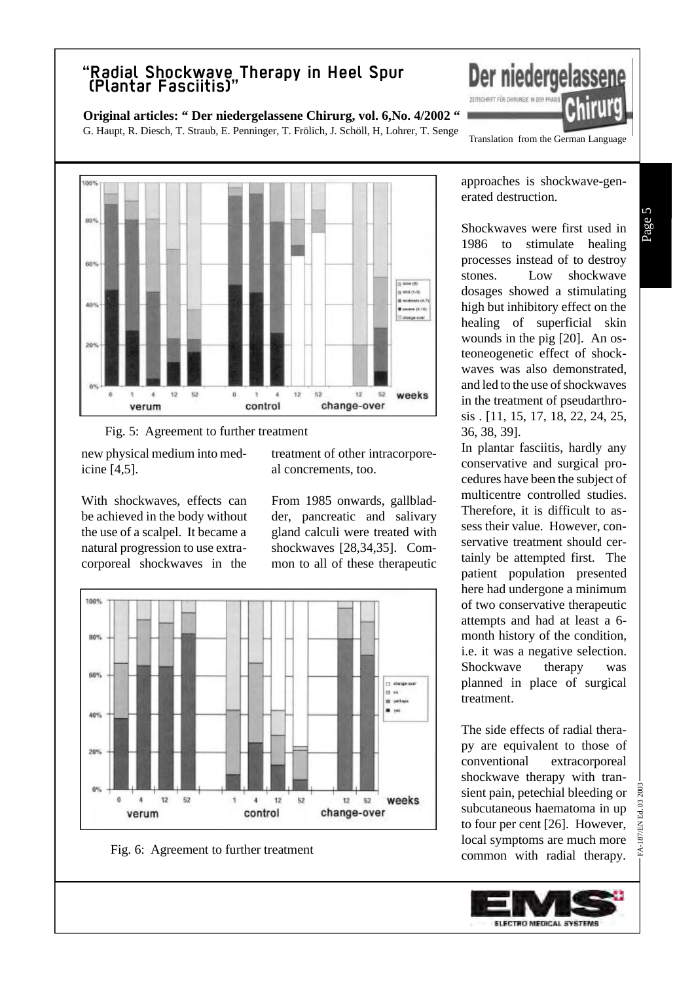**Original articles: " Der niedergelassene Chirurg, vol. 6,No. 4/2002 "**

G. Haupt, R. Diesch, T. Straub, E. Penninger, T. Frölich, J. Schöll, H, Lohrer, T. Senge Translation from the German Language



Fig. 5: Agreement to further treatment

new physical medium into medicine [4,5].

With shockwaves, effects can be achieved in the body without the use of a scalpel. It became a natural progression to use extracorporeal shockwaves in the

treatment of other intracorporeal concrements, too.

From 1985 onwards, gallbladder, pancreatic and salivary gland calculi were treated with shockwaves [28,34,35]. Common to all of these therapeutic



Fig. 6: Agreement to further treatment

approaches is shockwave-generated destruction.

Der niedergelassene

ZEITSCHRIFT FÜR CHIRURGIE IN DER P

Shockwaves were first used in 1986 to stimulate healing processes instead of to destroy stones. Low shockwave dosages showed a stimulating high but inhibitory effect on the healing of superficial skin wounds in the pig [20]. An osteoneogenetic effect of shockwaves was also demonstrated, and led to the use of shockwaves in the treatment of pseudarthrosis . [11, 15, 17, 18, 22, 24, 25, 36, 38, 39].

In plantar fasciitis, hardly any conservative and surgical procedures have been the subject of multicentre controlled studies. Therefore, it is difficult to assess their value. However, conservative treatment should certainly be attempted first. The patient population presented here had undergone a minimum of two conservative therapeutic attempts and had at least a 6 month history of the condition, i.e. it was a negative selection. Shockwave therapy was planned in place of surgical treatment.

The side effects of radial therapy are equivalent to those of conventional extracorporeal shockwave therapy with transient pain, petechial bleeding or subcutaneous haematoma in up to four per cent [26]. However, local symptoms are much more common with radial therapy.

FA-187/EN Ed. 03 2003

187/EN Ed. 03 2003